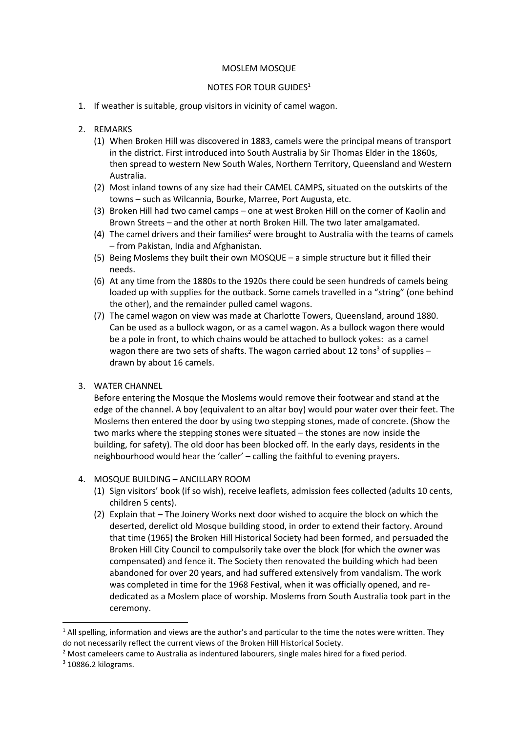## MOSLEM MOSQUE

## NOTES FOR TOUR GUIDES<sup>1</sup>

- 1. If weather is suitable, group visitors in vicinity of camel wagon.
- 2. REMARKS
	- (1) When Broken Hill was discovered in 1883, camels were the principal means of transport in the district. First introduced into South Australia by Sir Thomas Elder in the 1860s, then spread to western New South Wales, Northern Territory, Queensland and Western Australia.
	- (2) Most inland towns of any size had their CAMEL CAMPS, situated on the outskirts of the towns – such as Wilcannia, Bourke, Marree, Port Augusta, etc.
	- (3) Broken Hill had two camel camps one at west Broken Hill on the corner of Kaolin and Brown Streets – and the other at north Broken Hill. The two later amalgamated.
	- (4) The camel drivers and their families<sup>2</sup> were brought to Australia with the teams of camels – from Pakistan, India and Afghanistan.
	- (5) Being Moslems they built their own MOSQUE a simple structure but it filled their needs.
	- (6) At any time from the 1880s to the 1920s there could be seen hundreds of camels being loaded up with supplies for the outback. Some camels travelled in a "string" (one behind the other), and the remainder pulled camel wagons.
	- (7) The camel wagon on view was made at Charlotte Towers, Queensland, around 1880. Can be used as a bullock wagon, or as a camel wagon. As a bullock wagon there would be a pole in front, to which chains would be attached to bullock yokes: as a camel wagon there are two sets of shafts. The wagon carried about 12 tons<sup>3</sup> of supplies – drawn by about 16 camels.
- 3. WATER CHANNEL

Before entering the Mosque the Moslems would remove their footwear and stand at the edge of the channel. A boy (equivalent to an altar boy) would pour water over their feet. The Moslems then entered the door by using two stepping stones, made of concrete. (Show the two marks where the stepping stones were situated – the stones are now inside the building, for safety). The old door has been blocked off. In the early days, residents in the neighbourhood would hear the 'caller' – calling the faithful to evening prayers.

- 4. MOSQUE BUILDING ANCILLARY ROOM
	- (1) Sign visitors' book (if so wish), receive leaflets, admission fees collected (adults 10 cents, children 5 cents).
	- (2) Explain that The Joinery Works next door wished to acquire the block on which the deserted, derelict old Mosque building stood, in order to extend their factory. Around that time (1965) the Broken Hill Historical Society had been formed, and persuaded the Broken Hill City Council to compulsorily take over the block (for which the owner was compensated) and fence it. The Society then renovated the building which had been abandoned for over 20 years, and had suffered extensively from vandalism. The work was completed in time for the 1968 Festival, when it was officially opened, and rededicated as a Moslem place of worship. Moslems from South Australia took part in the ceremony.

 $1$  All spelling, information and views are the author's and particular to the time the notes were written. They do not necessarily reflect the current views of the Broken Hill Historical Society.

 $2$  Most cameleers came to Australia as indentured labourers, single males hired for a fixed period.

<sup>3</sup> 10886.2 kilograms.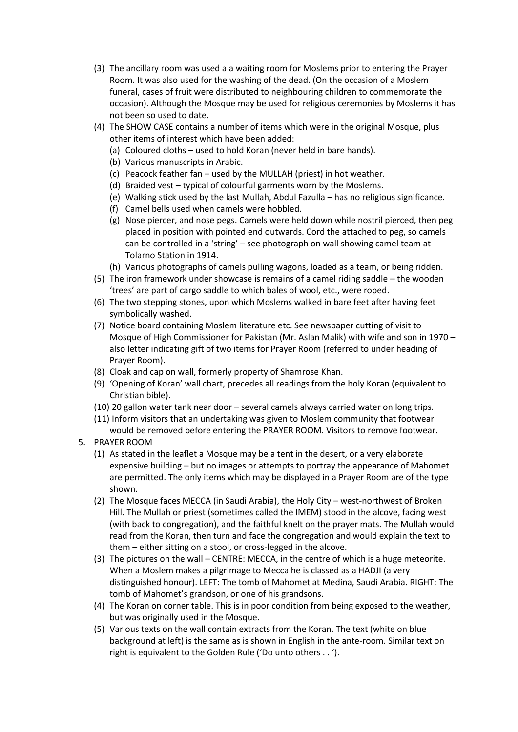- (3) The ancillary room was used a a waiting room for Moslems prior to entering the Prayer Room. It was also used for the washing of the dead. (On the occasion of a Moslem funeral, cases of fruit were distributed to neighbouring children to commemorate the occasion). Although the Mosque may be used for religious ceremonies by Moslems it has not been so used to date.
- (4) The SHOW CASE contains a number of items which were in the original Mosque, plus other items of interest which have been added:
	- (a) Coloured cloths used to hold Koran (never held in bare hands).
	- (b) Various manuscripts in Arabic.
	- (c) Peacock feather fan used by the MULLAH (priest) in hot weather.
	- (d) Braided vest typical of colourful garments worn by the Moslems.
	- (e) Walking stick used by the last Mullah, Abdul Fazulla has no religious significance.
	- (f) Camel bells used when camels were hobbled.
	- (g) Nose piercer, and nose pegs. Camels were held down while nostril pierced, then peg placed in position with pointed end outwards. Cord the attached to peg, so camels can be controlled in a 'string' – see photograph on wall showing camel team at Tolarno Station in 1914.
	- (h) Various photographs of camels pulling wagons, loaded as a team, or being ridden.
- (5) The iron framework under showcase is remains of a camel riding saddle the wooden 'trees' are part of cargo saddle to which bales of wool, etc., were roped.
- (6) The two stepping stones, upon which Moslems walked in bare feet after having feet symbolically washed.
- (7) Notice board containing Moslem literature etc. See newspaper cutting of visit to Mosque of High Commissioner for Pakistan (Mr. Aslan Malik) with wife and son in 1970 – also letter indicating gift of two items for Prayer Room (referred to under heading of Prayer Room).
- (8) Cloak and cap on wall, formerly property of Shamrose Khan.
- (9) 'Opening of Koran' wall chart, precedes all readings from the holy Koran (equivalent to Christian bible).
- (10) 20 gallon water tank near door several camels always carried water on long trips.
- (11) Inform visitors that an undertaking was given to Moslem community that footwear would be removed before entering the PRAYER ROOM. Visitors to remove footwear.
- 5. PRAYER ROOM
	- (1) As stated in the leaflet a Mosque may be a tent in the desert, or a very elaborate expensive building – but no images or attempts to portray the appearance of Mahomet are permitted. The only items which may be displayed in a Prayer Room are of the type shown.
	- (2) The Mosque faces MECCA (in Saudi Arabia), the Holy City west-northwest of Broken Hill. The Mullah or priest (sometimes called the IMEM) stood in the alcove, facing west (with back to congregation), and the faithful knelt on the prayer mats. The Mullah would read from the Koran, then turn and face the congregation and would explain the text to them – either sitting on a stool, or cross-legged in the alcove.
	- (3) The pictures on the wall CENTRE: MECCA, in the centre of which is a huge meteorite. When a Moslem makes a pilgrimage to Mecca he is classed as a HADJI (a very distinguished honour). LEFT: The tomb of Mahomet at Medina, Saudi Arabia. RIGHT: The tomb of Mahomet's grandson, or one of his grandsons.
	- (4) The Koran on corner table. This is in poor condition from being exposed to the weather, but was originally used in the Mosque.
	- (5) Various texts on the wall contain extracts from the Koran. The text (white on blue background at left) is the same as is shown in English in the ante-room. Similar text on right is equivalent to the Golden Rule ('Do unto others . . ').